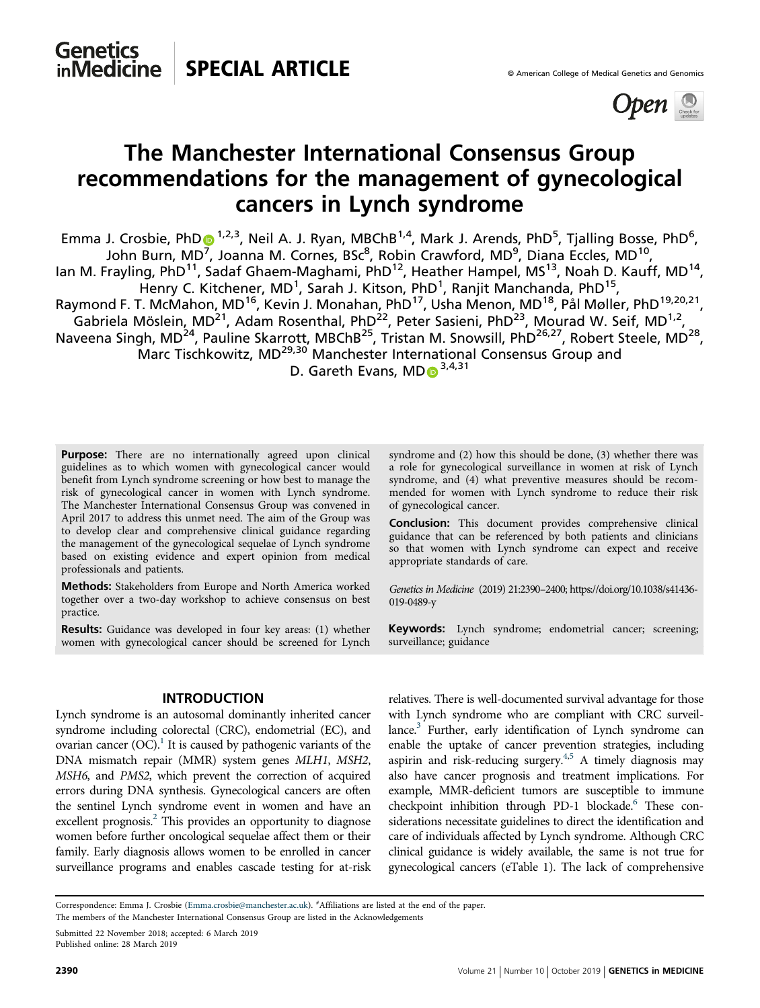

# The Manchester International Consensus Group recommendations for the management of gynecological cancers in Lynch syndrome

Emma J. Crosbie, Ph[D](http://orcid.org/0000-0003-0284-8630)<sup>o 1,2,3</sup>, Neil A. J. Ryan, MBChB<sup>1,4</sup>, Mark J. Arends, PhD<sup>5</sup>, Tjalling Bosse, PhD<sup>6</sup>, John Burn, MD<sup>[7](http://orcid.org/0000-0003-0284-8630)</sup>, Joanna M. Cornes, BSc<sup>8</sup>, Robin Crawford, MD<sup>9</sup>, Diana Eccles, MD<sup>10</sup>, lan M. Frayling, PhD<sup>11</sup>, Sadaf Ghaem-Maghami, PhD<sup>12</sup>, Heather Hampel, MS<sup>13</sup>, Noah D. Kauff, MD<sup>14</sup>, Henry C. Kitchener, MD<sup>1</sup>, Sarah J. Kitson, PhD<sup>1</sup>, Ranjit Manchanda, PhD<sup>15</sup>, Raymond F. T. McMahon, MD<sup>16</sup>, Kevin J. Monahan, PhD<sup>17</sup>, Usha Menon, MD<sup>18</sup>, Pål Møller, PhD<sup>19,20,21</sup>, Gabriela Möslein, MD<sup>21</sup>, Adam Rosenthal, PhD<sup>22</sup>, Peter Sasieni, PhD<sup>23</sup>, Mourad W. Seif, MD<sup>1,2</sup>, Naveena Singh, MD<sup>24</sup>, Pauline Skarrott, MBChB<sup>25</sup>, Tristan M. Snowsill, PhD<sup>26,27</sup>, Robert Steele, MD<sup>28</sup>, Marc Tischkowitz, MD<sup>29,30</sup> Manchester International Consensus Group and D. Gareth Evans,  $MD_3^{3,4,31}$ 

Purpose: There are no internationally agreed upon clinical guidelines as to which women with gynecological cancer would benefit from Lynch syndrome screening or how best to manage the risk of gynecological cancer in women with Lynch syndrome. The Manchester International Consensus Group was convened in April 2017 to address this unmet need. The aim of the Group was to develop clear and comprehensive clinical guidance regarding the management of the gynecological sequelae of Lynch syndrome based on existing evidence and expert opinion from medical professionals and patients.

Methods: Stakeholders from Europe and North America worked together over a two-day workshop to achieve consensus on best practice.

Results: Guidance was developed in four key areas: (1) whether women with gynecological cancer should be screened for Lynch

#### INTRODUCTION

Lynch syndrome is an autosomal dominantly inherited cancer syndrome including colorectal (CRC), endometrial (EC), and ovarian cancer  $(OC)^1$ . It is caused by pathogenic variants of the DNA mismatch repair (MMR) system genes MLH1, MSH2, MSH6, and PMS2, which prevent the correction of acquired errors during DNA synthesis. Gynecological cancers are often the sentinel Lynch syndrome event in women and have an excellent prognosis.<sup>[2](#page-8-0)</sup> This provides an opportunity to diagnose women before further oncological sequelae affect them or their family. Early diagnosis allows women to be enrolled in cancer surveillance programs and enables cascade testing for at-risk syndrome and (2) how this should be done, (3) whether there was a role for gynecological surveillance in women at risk of Lynch syndrome, and (4) what preventive measures should be recommended for women with Lynch syndrome to reduce their risk of gynecological cancer.

Conclusion: This document provides comprehensive clinical guidance that can be referenced by both patients and clinicians so that women with Lynch syndrome can expect and receive appropriate standards of care.

Genetics in Medicine (2019) 21:2390–2400; [https://doi.org/10.1038/s41436-](https://doi.org/10.1038/s41436-019-0489-y) [019-0489-y](https://doi.org/10.1038/s41436-019-0489-y)

Keywords: Lynch syndrome; endometrial cancer; screening; surveillance; guidance

relatives. There is well-documented survival advantage for those with Lynch syndrome who are compliant with CRC surveillance.<sup>3</sup> Further, early identification of Lynch syndrome can enable the uptake of cancer prevention strategies, including aspirin and risk-reducing surgery.<sup>4,5</sup> A timely diagnosis may also have cancer prognosis and treatment implications. For example, MMR-deficient tumors are susceptible to immune checkpoint inhibition through PD-1 blockade.<sup>6</sup> These considerations necessitate guidelines to direct the identification and care of individuals affected by Lynch syndrome. Although CRC clinical guidance is widely available, the same is not true for gynecological cancers (eTable 1). The lack of comprehensive

Correspondence: Emma J. Crosbie [\(Emma.crosbie@manchester.ac.uk](mailto:Emma.crosbie@manchester.ac.uk)). # Affiliations are listed at the end of the paper.

The members of the Manchester International Consensus Group are listed in the Acknowledgements

Submitted 22 November 2018; accepted: 6 March 2019 Published online: 28 March 2019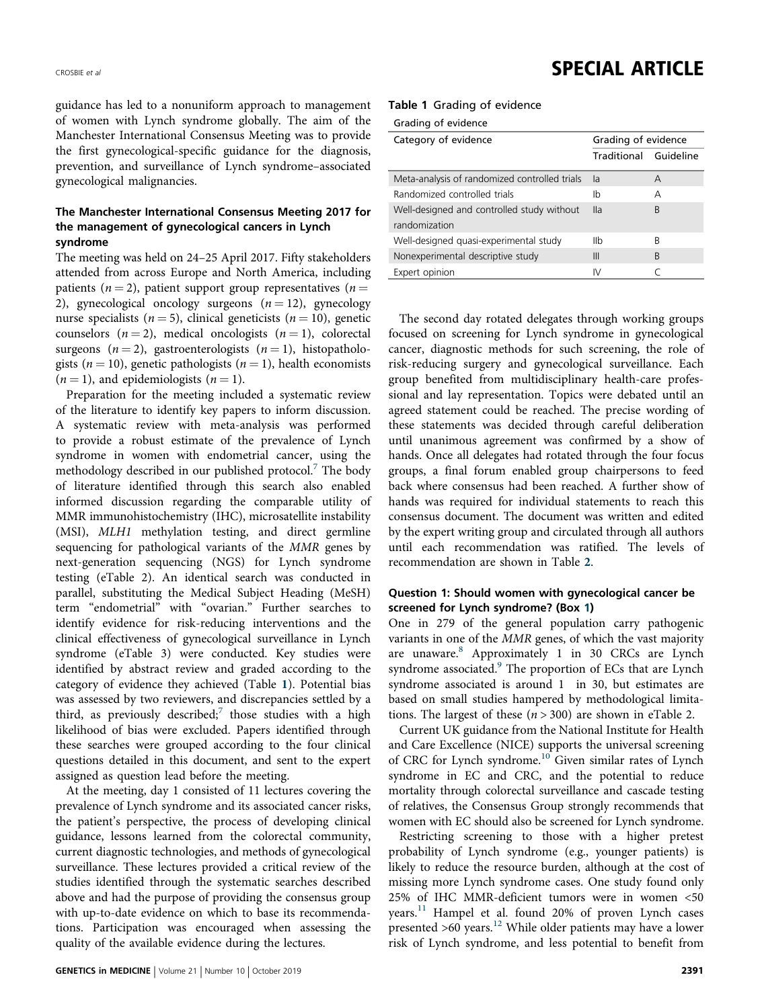guidance has led to a nonuniform approach to management of women with Lynch syndrome globally. The aim of the Manchester International Consensus Meeting was to provide the first gynecological-specific guidance for the diagnosis, prevention, and surveillance of Lynch syndrome–associated gynecological malignancies.

## The Manchester International Consensus Meeting 2017 for the management of gynecological cancers in Lynch syndrome

The meeting was held on 24–25 April 2017. Fifty stakeholders attended from across Europe and North America, including patients ( $n = 2$ ), patient support group representatives ( $n =$ 2), gynecological oncology surgeons  $(n = 12)$ , gynecology nurse specialists ( $n = 5$ ), clinical geneticists ( $n = 10$ ), genetic counselors  $(n = 2)$ , medical oncologists  $(n = 1)$ , colorectal surgeons  $(n=2)$ , gastroenterologists  $(n=1)$ , histopathologists ( $n = 10$ ), genetic pathologists ( $n = 1$ ), health economists  $(n = 1)$ , and epidemiologists  $(n = 1)$ .

Preparation for the meeting included a systematic review of the literature to identify key papers to inform discussion. A systematic review with meta-analysis was performed to provide a robust estimate of the prevalence of Lynch syndrome in women with endometrial cancer, using the methodology described in our published protocol.<sup>[7](#page-8-0)</sup> The body of literature identified through this search also enabled informed discussion regarding the comparable utility of MMR immunohistochemistry (IHC), microsatellite instability (MSI), MLH1 methylation testing, and direct germline sequencing for pathological variants of the MMR genes by next-generation sequencing (NGS) for Lynch syndrome testing (eTable 2). An identical search was conducted in parallel, substituting the Medical Subject Heading (MeSH) term "endometrial" with "ovarian." Further searches to identify evidence for risk-reducing interventions and the clinical effectiveness of gynecological surveillance in Lynch syndrome (eTable 3) were conducted. Key studies were identified by abstract review and graded according to the category of evidence they achieved (Table 1). Potential bias was assessed by two reviewers, and discrepancies settled by a third, as previously described;<sup>[7](#page-8-0)</sup> those studies with a high likelihood of bias were excluded. Papers identified through these searches were grouped according to the four clinical questions detailed in this document, and sent to the expert assigned as question lead before the meeting.

At the meeting, day 1 consisted of 11 lectures covering the prevalence of Lynch syndrome and its associated cancer risks, the patient's perspective, the process of developing clinical guidance, lessons learned from the colorectal community, current diagnostic technologies, and methods of gynecological surveillance. These lectures provided a critical review of the studies identified through the systematic searches described above and had the purpose of providing the consensus group with up-to-date evidence on which to base its recommendations. Participation was encouraged when assessing the quality of the available evidence during the lectures.

## CROSBIE et al. **SPECIAL ARTICLE**

|  |  |  |  | Table 1 Grading of evidence |
|--|--|--|--|-----------------------------|
|--|--|--|--|-----------------------------|

Grading of evidence

| Category of evidence                          | Grading of evidence   |   |  |
|-----------------------------------------------|-----------------------|---|--|
|                                               | Traditional Guideline |   |  |
| Meta-analysis of randomized controlled trials | la                    | A |  |
| Randomized controlled trials                  | Ib                    | А |  |
| Well-designed and controlled study without    | $\mathsf{II}$ a       | B |  |
| randomization                                 |                       |   |  |
| Well-designed quasi-experimental study        | IIb                   | R |  |
| Nonexperimental descriptive study             | Ш                     | R |  |
| Expert opinion                                | IV                    |   |  |

The second day rotated delegates through working groups focused on screening for Lynch syndrome in gynecological cancer, diagnostic methods for such screening, the role of risk-reducing surgery and gynecological surveillance. Each group benefited from multidisciplinary health-care professional and lay representation. Topics were debated until an agreed statement could be reached. The precise wording of these statements was decided through careful deliberation until unanimous agreement was confirmed by a show of hands. Once all delegates had rotated through the four focus groups, a final forum enabled group chairpersons to feed back where consensus had been reached. A further show of hands was required for individual statements to reach this consensus document. The document was written and edited by the expert writing group and circulated through all authors until each recommendation was ratified. The levels of recommendation are shown in Table [2](#page-2-0).

## Question 1: Should women with gynecological cancer be screened for Lynch syndrome? (Box 1)

One in 279 of the general population carry pathogenic variants in one of the MMR genes, of which the vast majority are unaware[.8](#page-8-0) Approximately 1 in 30 CRCs are Lynch syndrome associated.<sup>[9](#page-8-0)</sup> The proportion of ECs that are Lynch syndrome associated is around 1 in 30, but estimates are based on small studies hampered by methodological limitations. The largest of these  $(n > 300)$  are shown in eTable 2.

Current UK guidance from the National Institute for Health and Care Excellence (NICE) supports the universal screening of CRC for Lynch syndrome.[10](#page-8-0) Given similar rates of Lynch syndrome in EC and CRC, and the potential to reduce mortality through colorectal surveillance and cascade testing of relatives, the Consensus Group strongly recommends that women with EC should also be screened for Lynch syndrome.

Restricting screening to those with a higher pretest probability of Lynch syndrome (e.g., younger patients) is likely to reduce the resource burden, although at the cost of missing more Lynch syndrome cases. One study found only 25% of IHC MMR-deficient tumors were in women <50 years.<sup>[11](#page-8-0)</sup> Hampel et al. found 20% of proven Lynch cases presented  $>60$  years.<sup>[12](#page-8-0)</sup> While older patients may have a lower risk of Lynch syndrome, and less potential to benefit from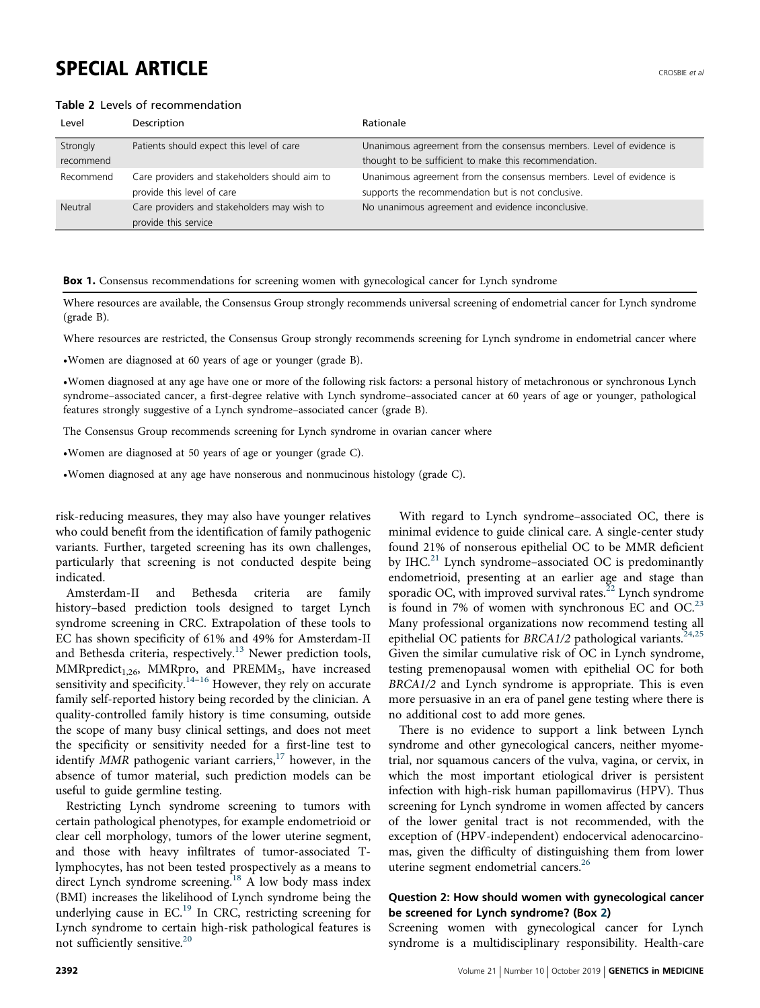## <span id="page-2-0"></span>SPECIAL ARTICLE  $\overline{C}$

### Table 2 Levels of recommendation

| Level     | Description                                   | Rationale                                                            |
|-----------|-----------------------------------------------|----------------------------------------------------------------------|
| Strongly  | Patients should expect this level of care     | Unanimous agreement from the consensus members. Level of evidence is |
| recommend |                                               | thought to be sufficient to make this recommendation.                |
| Recommend | Care providers and stakeholders should aim to | Unanimous agreement from the consensus members. Level of evidence is |
|           | provide this level of care                    | supports the recommendation but is not conclusive.                   |
| Neutral   | Care providers and stakeholders may wish to   | No unanimous agreement and evidence inconclusive.                    |
|           | provide this service                          |                                                                      |

**Box 1.** Consensus recommendations for screening women with gynecological cancer for Lynch syndrome

Where resources are available, the Consensus Group strongly recommends universal screening of endometrial cancer for Lynch syndrome (grade B).

Where resources are restricted, the Consensus Group strongly recommends screening for Lynch syndrome in endometrial cancer where

•Women are diagnosed at 60 years of age or younger (grade B).

•Women diagnosed at any age have one or more of the following risk factors: a personal history of metachronous or synchronous Lynch syndrome–associated cancer, a first-degree relative with Lynch syndrome–associated cancer at 60 years of age or younger, pathological features strongly suggestive of a Lynch syndrome–associated cancer (grade B).

The Consensus Group recommends screening for Lynch syndrome in ovarian cancer where

•Women are diagnosed at 50 years of age or younger (grade C).

•Women diagnosed at any age have nonserous and nonmucinous histology (grade C).

risk-reducing measures, they may also have younger relatives who could benefit from the identification of family pathogenic variants. Further, targeted screening has its own challenges, particularly that screening is not conducted despite being indicated.

Amsterdam-II and Bethesda criteria are family history–based prediction tools designed to target Lynch syndrome screening in CRC. Extrapolation of these tools to EC has shown specificity of 61% and 49% for Amsterdam-II and Bethesda criteria, respectively.<sup>[13](#page-8-0)</sup> Newer prediction tools,  $MMRpredict<sub>1,26</sub>, MMRpro, and PREMM<sub>5</sub>, have increased$ sensitivity and specificity. $14-16$  $14-16$  $14-16$  However, they rely on accurate family self-reported history being recorded by the clinician. A quality-controlled family history is time consuming, outside the scope of many busy clinical settings, and does not meet the specificity or sensitivity needed for a first-line test to identify  $MMR$  pathogenic variant carriers,<sup>[17](#page-8-0)</sup> however, in the absence of tumor material, such prediction models can be useful to guide germline testing.

Restricting Lynch syndrome screening to tumors with certain pathological phenotypes, for example endometrioid or clear cell morphology, tumors of the lower uterine segment, and those with heavy infiltrates of tumor-associated Tlymphocytes, has not been tested prospectively as a means to direct Lynch syndrome screening.<sup>[18](#page-8-0)</sup> A low body mass index (BMI) increases the likelihood of Lynch syndrome being the underlying cause in EC.<sup>[19](#page-8-0)</sup> In CRC, restricting screening for Lynch syndrome to certain high-risk pathological features is not sufficiently sensitive.<sup>20</sup>

With regard to Lynch syndrome–associated OC, there is minimal evidence to guide clinical care. A single-center study found 21% of nonserous epithelial OC to be MMR deficient by IHC.<sup>[21](#page-8-0)</sup> Lynch syndrome-associated OC is predominantly endometrioid, presenting at an earlier age and stage than sporadic OC, with improved survival rates. $^{22}$  $^{22}$  $^{22}$  Lynch syndrome is found in 7% of women with synchronous EC and  $OC^{23}$  $OC^{23}$  $OC^{23}$ Many professional organizations now recommend testing all epithelial OC patients for BRCA1/2 pathological variants.<sup>[24,25](#page-8-0)</sup> Given the similar cumulative risk of OC in Lynch syndrome, testing premenopausal women with epithelial OC for both BRCA1/2 and Lynch syndrome is appropriate. This is even more persuasive in an era of panel gene testing where there is no additional cost to add more genes.

There is no evidence to support a link between Lynch syndrome and other gynecological cancers, neither myometrial, nor squamous cancers of the vulva, vagina, or cervix, in which the most important etiological driver is persistent infection with high-risk human papillomavirus (HPV). Thus screening for Lynch syndrome in women affected by cancers of the lower genital tract is not recommended, with the exception of (HPV-independent) endocervical adenocarcinomas, given the difficulty of distinguishing them from lower uterine segment endometrial cancers.<sup>[26](#page-8-0)</sup>

## Question 2: How should women with gynecological cancer be screened for Lynch syndrome? (Box 2)

Screening women with gynecological cancer for Lynch syndrome is a multidisciplinary responsibility. Health-care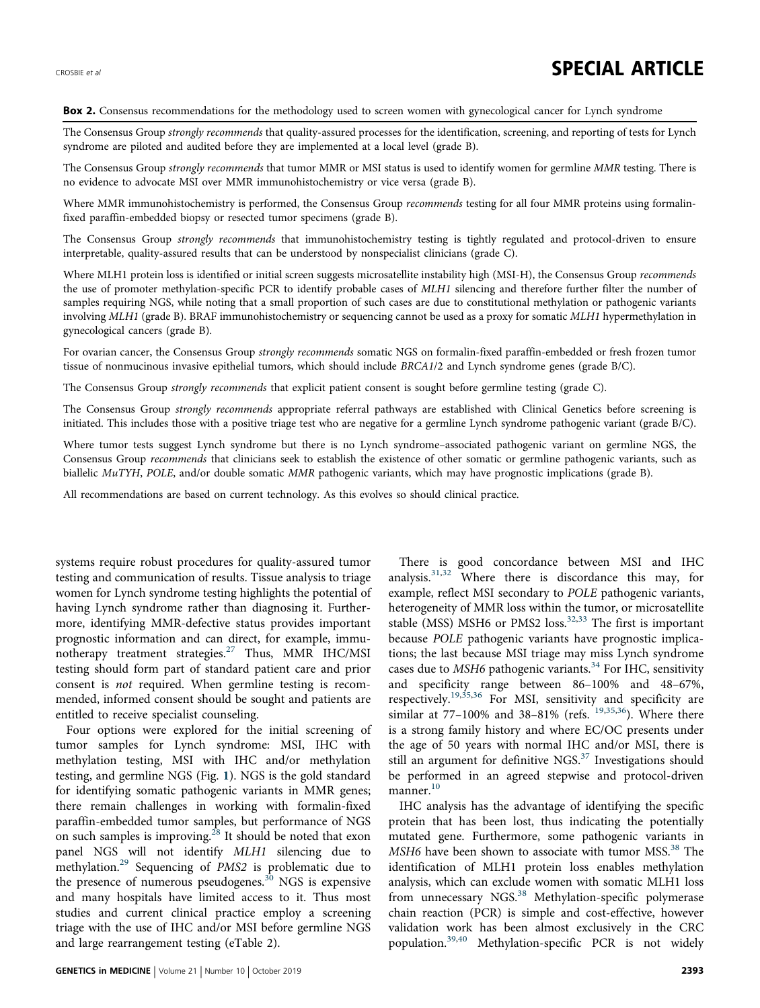## CROSBIE et al. **SPECIAL ARTICLE**

#### Box 2. Consensus recommendations for the methodology used to screen women with gynecological cancer for Lynch syndrome

The Consensus Group strongly recommends that quality-assured processes for the identification, screening, and reporting of tests for Lynch syndrome are piloted and audited before they are implemented at a local level (grade B).

The Consensus Group strongly recommends that tumor MMR or MSI status is used to identify women for germline MMR testing. There is no evidence to advocate MSI over MMR immunohistochemistry or vice versa (grade B).

Where MMR immunohistochemistry is performed, the Consensus Group recommends testing for all four MMR proteins using formalinfixed paraffin-embedded biopsy or resected tumor specimens (grade B).

The Consensus Group strongly recommends that immunohistochemistry testing is tightly regulated and protocol-driven to ensure interpretable, quality-assured results that can be understood by nonspecialist clinicians (grade C).

Where MLH1 protein loss is identified or initial screen suggests microsatellite instability high (MSI-H), the Consensus Group *recommends* the use of promoter methylation-specific PCR to identify probable cases of MLH1 silencing and therefore further filter the number of samples requiring NGS, while noting that a small proportion of such cases are due to constitutional methylation or pathogenic variants involving MLH1 (grade B). BRAF immunohistochemistry or sequencing cannot be used as a proxy for somatic MLH1 hypermethylation in gynecological cancers (grade B).

For ovarian cancer, the Consensus Group strongly recommends somatic NGS on formalin-fixed paraffin-embedded or fresh frozen tumor tissue of nonmucinous invasive epithelial tumors, which should include BRCA1/2 and Lynch syndrome genes (grade B/C).

The Consensus Group strongly recommends that explicit patient consent is sought before germline testing (grade C).

The Consensus Group strongly recommends appropriate referral pathways are established with Clinical Genetics before screening is initiated. This includes those with a positive triage test who are negative for a germline Lynch syndrome pathogenic variant (grade B/C).

Where tumor tests suggest Lynch syndrome but there is no Lynch syndrome–associated pathogenic variant on germline NGS, the Consensus Group recommends that clinicians seek to establish the existence of other somatic or germline pathogenic variants, such as biallelic MuTYH, POLE, and/or double somatic MMR pathogenic variants, which may have prognostic implications (grade B).

All recommendations are based on current technology. As this evolves so should clinical practice.

systems require robust procedures for quality-assured tumor testing and communication of results. Tissue analysis to triage women for Lynch syndrome testing highlights the potential of having Lynch syndrome rather than diagnosing it. Furthermore, identifying MMR-defective status provides important prognostic information and can direct, for example, immu-notherapy treatment strategies.<sup>[27](#page-8-0)</sup> Thus, MMR IHC/MSI testing should form part of standard patient care and prior consent is not required. When germline testing is recommended, informed consent should be sought and patients are entitled to receive specialist counseling.

Four options were explored for the initial screening of tumor samples for Lynch syndrome: MSI, IHC with methylation testing, MSI with IHC and/or methylation testing, and germline NGS (Fig. [1](#page-4-0)). NGS is the gold standard for identifying somatic pathogenic variants in MMR genes; there remain challenges in working with formalin-fixed paraffin-embedded tumor samples, but performance of NGS on such samples is improving.<sup>[28](#page-8-0)</sup> It should be noted that exon panel NGS will not identify MLH1 silencing due to methylation.<sup>[29](#page-8-0)</sup> Sequencing of PMS2 is problematic due to the presence of numerous pseudogenes.<sup>[30](#page-8-0)</sup> NGS is expensive and many hospitals have limited access to it. Thus most studies and current clinical practice employ a screening triage with the use of IHC and/or MSI before germline NGS and large rearrangement testing (eTable 2).

There is good concordance between MSI and IHC analysis.[31](#page-8-0),[32](#page-8-0) Where there is discordance this may, for example, reflect MSI secondary to POLE pathogenic variants, heterogeneity of MMR loss within the tumor, or microsatellite stable (MSS) MSH6 or PMS2 loss.<sup>[32,33](#page-8-0)</sup> The first is important because POLE pathogenic variants have prognostic implications; the last because MSI triage may miss Lynch syndrome cases due to  $MSH6$  pathogenic variants.<sup>[34](#page-8-0)</sup> For IHC, sensitivity and specificity range between 86–100% and 48–67%, respectively.<sup>[19](#page-8-0),[35](#page-8-0),[36](#page-8-0)</sup> For MSI, sensitivity and specificity are similar at  $77-100\%$  and  $38-81\%$  (refs.  $19,35,36$  $19,35,36$ ). Where there is a strong family history and where EC/OC presents under the age of 50 years with normal IHC and/or MSI, there is still an argument for definitive NGS. $37$  Investigations should be performed in an agreed stepwise and protocol-driven manner.<sup>[10](#page-8-0)</sup>

IHC analysis has the advantage of identifying the specific protein that has been lost, thus indicating the potentially mutated gene. Furthermore, some pathogenic variants in MSH6 have been shown to associate with tumor MSS.<sup>[38](#page-8-0)</sup> The identification of MLH1 protein loss enables methylation analysis, which can exclude women with somatic MLH1 loss from unnecessary NGS.<sup>[38](#page-8-0)</sup> Methylation-specific polymerase chain reaction (PCR) is simple and cost-effective, however validation work has been almost exclusively in the CRC population.[39,40](#page-8-0) Methylation-specific PCR is not widely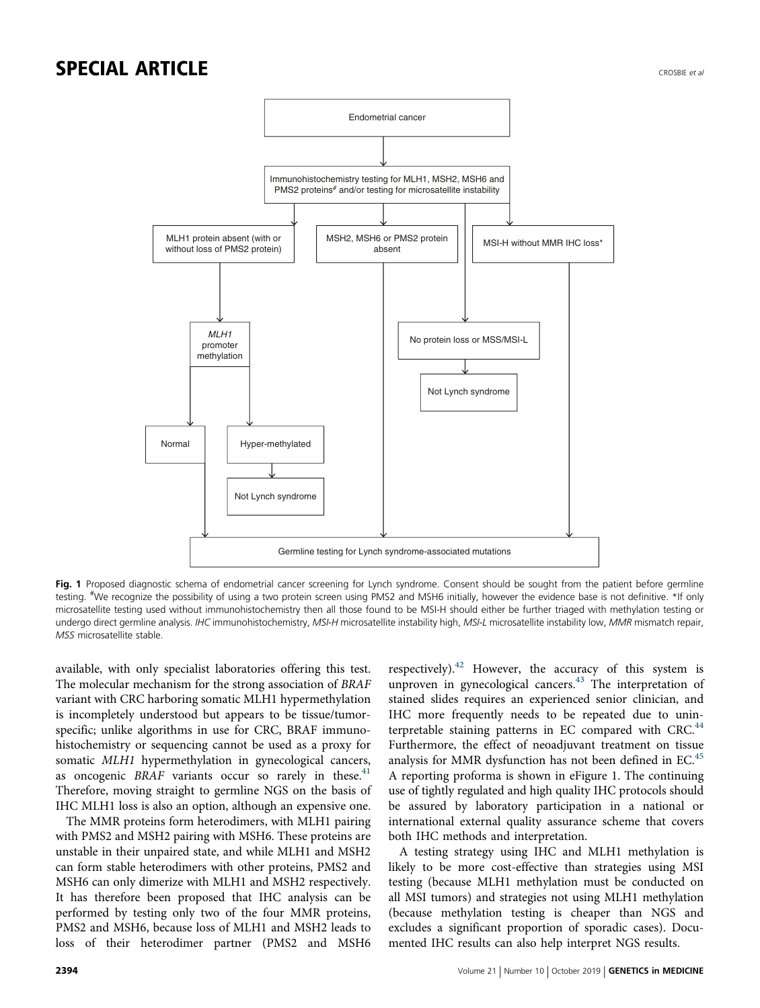## <span id="page-4-0"></span>SPECIAL ARTICLE AND RESIDENCE CROSSES AND RECONNECTED AND RECONNECTED AND RECONNECTED AND RECONNECTED AND RECONNECTED AND RECONNECTED AND RECONNECTED AND RECONNECTED AND RECONNECTED AND RECONNECTED AND RECONNECTED AND RECO



Fig. 1 Proposed diagnostic schema of endometrial cancer screening for Lynch syndrome. Consent should be sought from the patient before germline testing. <sup>#</sup>We recognize the possibility of using a two protein screen using PMS2 and MSH6 initially, however the evidence base is not definitive. \*If only microsatellite testing used without immunohistochemistry then all those found to be MSI-H should either be further triaged with methylation testing or undergo direct germline analysis. IHC immunohistochemistry, MSI-H microsatellite instability high, MSI-L microsatellite instability low, MMR mismatch repair, MSS microsatellite stable.

available, with only specialist laboratories offering this test. The molecular mechanism for the strong association of BRAF variant with CRC harboring somatic MLH1 hypermethylation is incompletely understood but appears to be tissue/tumorspecific; unlike algorithms in use for CRC, BRAF immunohistochemistry or sequencing cannot be used as a proxy for somatic MLH1 hypermethylation in gynecological cancers, as oncogenic  $BRAF$  variants occur so rarely in these.<sup>41</sup> Therefore, moving straight to germline NGS on the basis of IHC MLH1 loss is also an option, although an expensive one.

The MMR proteins form heterodimers, with MLH1 pairing with PMS2 and MSH2 pairing with MSH6. These proteins are unstable in their unpaired state, and while MLH1 and MSH2 can form stable heterodimers with other proteins, PMS2 and MSH6 can only dimerize with MLH1 and MSH2 respectively. It has therefore been proposed that IHC analysis can be performed by testing only two of the four MMR proteins, PMS2 and MSH6, because loss of MLH1 and MSH2 leads to loss of their heterodimer partner (PMS2 and MSH6 respectively).<sup>[42](#page-8-0)</sup> However, the accuracy of this system is unproven in gynecological cancers. $43$  The interpretation of stained slides requires an experienced senior clinician, and IHC more frequently needs to be repeated due to unin-terpretable staining patterns in EC compared with CRC.<sup>[44](#page-8-0)</sup> Furthermore, the effect of neoadjuvant treatment on tissue analysis for MMR dysfunction has not been defined in EC.<sup>[45](#page-8-0)</sup> A reporting proforma is shown in eFigure 1. The continuing use of tightly regulated and high quality IHC protocols should be assured by laboratory participation in a national or international external quality assurance scheme that covers both IHC methods and interpretation.

A testing strategy using IHC and MLH1 methylation is likely to be more cost-effective than strategies using MSI testing (because MLH1 methylation must be conducted on all MSI tumors) and strategies not using MLH1 methylation (because methylation testing is cheaper than NGS and excludes a significant proportion of sporadic cases). Documented IHC results can also help interpret NGS results.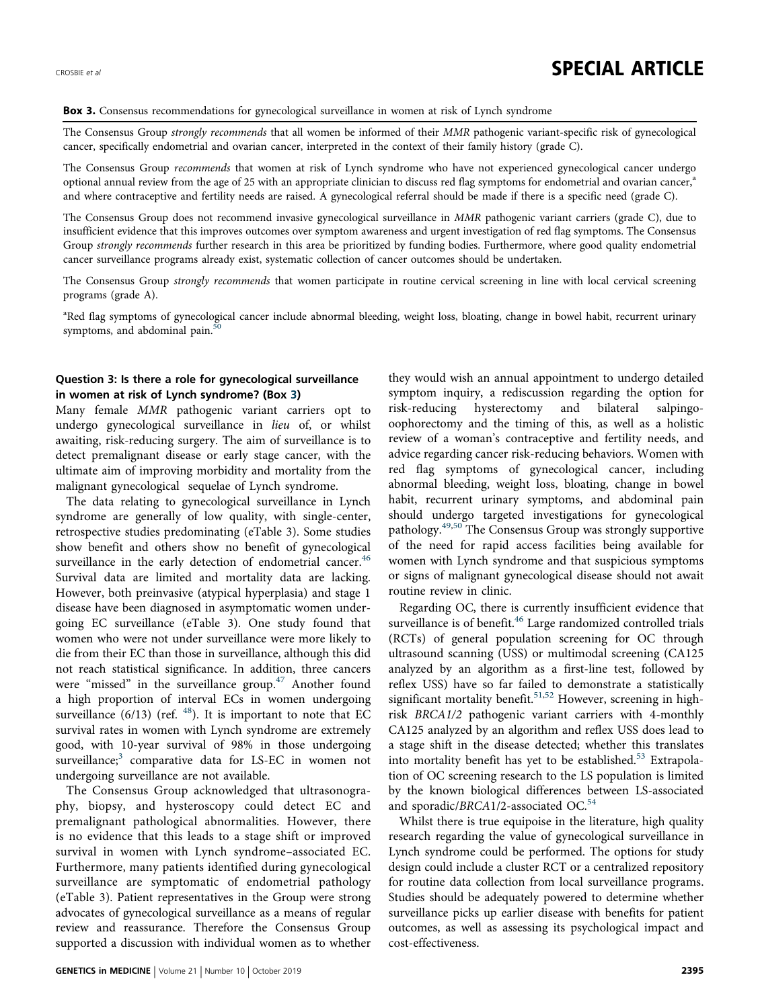#### Box 3. Consensus recommendations for gynecological surveillance in women at risk of Lynch syndrome

The Consensus Group strongly recommends that all women be informed of their MMR pathogenic variant-specific risk of gynecological cancer, specifically endometrial and ovarian cancer, interpreted in the context of their family history (grade C).

The Consensus Group recommends that women at risk of Lynch syndrome who have not experienced gynecological cancer undergo optional annual review from the age of 25 with an appropriate clinician to discuss red flag symptoms for endometrial and ovarian cancer, $a$ and where contraceptive and fertility needs are raised. A gynecological referral should be made if there is a specific need (grade C).

The Consensus Group does not recommend invasive gynecological surveillance in MMR pathogenic variant carriers (grade C), due to insufficient evidence that this improves outcomes over symptom awareness and urgent investigation of red flag symptoms. The Consensus Group strongly recommends further research in this area be prioritized by funding bodies. Furthermore, where good quality endometrial cancer surveillance programs already exist, systematic collection of cancer outcomes should be undertaken.

The Consensus Group strongly recommends that women participate in routine cervical screening in line with local cervical screening programs (grade A).

<sup>a</sup>Red flag symptoms of gynecological cancer include abnormal bleeding, weight loss, bloating, change in bowel habit, recurrent urinary symptoms, and abdominal pain. $50$ 

### Question 3: Is there a role for gynecological surveillance in women at risk of Lynch syndrome? (Box 3)

Many female MMR pathogenic variant carriers opt to undergo gynecological surveillance in lieu of, or whilst awaiting, risk-reducing surgery. The aim of surveillance is to detect premalignant disease or early stage cancer, with the ultimate aim of improving morbidity and mortality from the malignant gynecological sequelae of Lynch syndrome.

The data relating to gynecological surveillance in Lynch syndrome are generally of low quality, with single-center, retrospective studies predominating (eTable 3). Some studies show benefit and others show no benefit of gynecological surveillance in the early detection of endometrial cancer.<sup>46</sup> Survival data are limited and mortality data are lacking. However, both preinvasive (atypical hyperplasia) and stage 1 disease have been diagnosed in asymptomatic women undergoing EC surveillance (eTable 3). One study found that women who were not under surveillance were more likely to die from their EC than those in surveillance, although this did not reach statistical significance. In addition, three cancers were "missed" in the surveillance group.<sup>[47](#page-9-0)</sup> Another found a high proportion of interval ECs in women undergoing surveillance  $(6/13)$  (ref.  $48$ ). It is important to note that EC survival rates in women with Lynch syndrome are extremely good, with 10-year survival of 98% in those undergoing surveillance;<sup>[3](#page-8-0)</sup> comparative data for LS-EC in women not undergoing surveillance are not available.

The Consensus Group acknowledged that ultrasonography, biopsy, and hysteroscopy could detect EC and premalignant pathological abnormalities. However, there is no evidence that this leads to a stage shift or improved survival in women with Lynch syndrome–associated EC. Furthermore, many patients identified during gynecological surveillance are symptomatic of endometrial pathology (eTable 3). Patient representatives in the Group were strong advocates of gynecological surveillance as a means of regular review and reassurance. Therefore the Consensus Group supported a discussion with individual women as to whether they would wish an annual appointment to undergo detailed symptom inquiry, a rediscussion regarding the option for risk-reducing hysterectomy and bilateral salpingooophorectomy and the timing of this, as well as a holistic review of a woman's contraceptive and fertility needs, and advice regarding cancer risk-reducing behaviors. Women with red flag symptoms of gynecological cancer, including abnormal bleeding, weight loss, bloating, change in bowel habit, recurrent urinary symptoms, and abdominal pain should undergo targeted investigations for gynecological pathology[.49,50](#page-9-0) The Consensus Group was strongly supportive of the need for rapid access facilities being available for women with Lynch syndrome and that suspicious symptoms or signs of malignant gynecological disease should not await routine review in clinic.

Regarding OC, there is currently insufficient evidence that surveillance is of benefit.<sup>46</sup> Large randomized controlled trials (RCTs) of general population screening for OC through ultrasound scanning (USS) or multimodal screening (CA125 analyzed by an algorithm as a first-line test, followed by reflex USS) have so far failed to demonstrate a statistically significant mortality benefit.<sup>[51,52](#page-9-0)</sup> However, screening in highrisk BRCA1/2 pathogenic variant carriers with 4-monthly CA125 analyzed by an algorithm and reflex USS does lead to a stage shift in the disease detected; whether this translates into mortality benefit has yet to be established.<sup>[53](#page-9-0)</sup> Extrapolation of OC screening research to the LS population is limited by the known biological differences between LS-associated and sporadic/BRCA1/2-associated OC.<sup>[54](#page-9-0)</sup>

Whilst there is true equipoise in the literature, high quality research regarding the value of gynecological surveillance in Lynch syndrome could be performed. The options for study design could include a cluster RCT or a centralized repository for routine data collection from local surveillance programs. Studies should be adequately powered to determine whether surveillance picks up earlier disease with benefits for patient outcomes, as well as assessing its psychological impact and cost-effectiveness.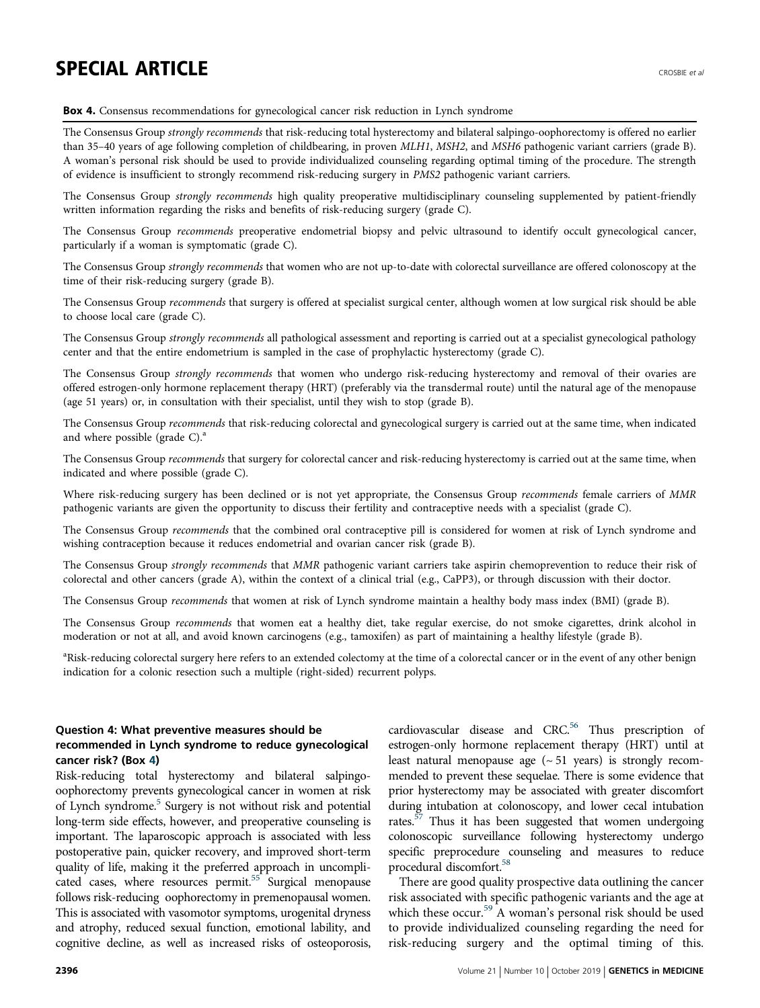# SPECIAL ARTICLE AND RESIDENCE AND RESIDENCE AND RECONNECTED AND RECONNECTED AND RECONNECTED AND RECONNECTED AND RECONNECTED AND RECONNECTED AND RECONNECTED AND RECONNECTED AND RECONNECTED AND RECONNECTED AND RECONNECTED AN

#### Box 4. Consensus recommendations for gynecological cancer risk reduction in Lynch syndrome

The Consensus Group strongly recommends that risk-reducing total hysterectomy and bilateral salpingo-oophorectomy is offered no earlier than 35-40 years of age following completion of childbearing, in proven MLH1, MSH2, and MSH6 pathogenic variant carriers (grade B). A woman's personal risk should be used to provide individualized counseling regarding optimal timing of the procedure. The strength of evidence is insufficient to strongly recommend risk-reducing surgery in PMS2 pathogenic variant carriers.

The Consensus Group strongly recommends high quality preoperative multidisciplinary counseling supplemented by patient-friendly written information regarding the risks and benefits of risk-reducing surgery (grade C).

The Consensus Group recommends preoperative endometrial biopsy and pelvic ultrasound to identify occult gynecological cancer, particularly if a woman is symptomatic (grade C).

The Consensus Group strongly recommends that women who are not up-to-date with colorectal surveillance are offered colonoscopy at the time of their risk-reducing surgery (grade B).

The Consensus Group recommends that surgery is offered at specialist surgical center, although women at low surgical risk should be able to choose local care (grade C).

The Consensus Group strongly recommends all pathological assessment and reporting is carried out at a specialist gynecological pathology center and that the entire endometrium is sampled in the case of prophylactic hysterectomy (grade C).

The Consensus Group strongly recommends that women who undergo risk-reducing hysterectomy and removal of their ovaries are offered estrogen-only hormone replacement therapy (HRT) (preferably via the transdermal route) until the natural age of the menopause (age 51 years) or, in consultation with their specialist, until they wish to stop (grade B).

The Consensus Group recommends that risk-reducing colorectal and gynecological surgery is carried out at the same time, when indicated and where possible (grade  $C$ ).<sup>a</sup>

The Consensus Group recommends that surgery for colorectal cancer and risk-reducing hysterectomy is carried out at the same time, when indicated and where possible (grade C).

Where risk-reducing surgery has been declined or is not yet appropriate, the Consensus Group recommends female carriers of MMR pathogenic variants are given the opportunity to discuss their fertility and contraceptive needs with a specialist (grade C).

The Consensus Group recommends that the combined oral contraceptive pill is considered for women at risk of Lynch syndrome and wishing contraception because it reduces endometrial and ovarian cancer risk (grade B).

The Consensus Group strongly recommends that MMR pathogenic variant carriers take aspirin chemoprevention to reduce their risk of colorectal and other cancers (grade A), within the context of a clinical trial (e.g., CaPP3), or through discussion with their doctor.

The Consensus Group recommends that women at risk of Lynch syndrome maintain a healthy body mass index (BMI) (grade B).

The Consensus Group recommends that women eat a healthy diet, take regular exercise, do not smoke cigarettes, drink alcohol in moderation or not at all, and avoid known carcinogens (e.g., tamoxifen) as part of maintaining a healthy lifestyle (grade B).

<sup>a</sup>Risk-reducing colorectal surgery here refers to an extended colectomy at the time of a colorectal cancer or in the event of any other benign indication for a colonic resection such a multiple (right-sided) recurrent polyps.

## Question 4: What preventive measures should be recommended in Lynch syndrome to reduce gynecological cancer risk? (Box 4)

Risk-reducing total hysterectomy and bilateral salpingooophorectomy prevents gynecological cancer in women at risk of Lynch syndrome.<sup>[5](#page-8-0)</sup> Surgery is not without risk and potential long-term side effects, however, and preoperative counseling is important. The laparoscopic approach is associated with less postoperative pain, quicker recovery, and improved short-term quality of life, making it the preferred approach in uncomplicated cases, where resources permit.<sup>55</sup> Surgical menopause follows risk-reducing oophorectomy in premenopausal women. This is associated with vasomotor symptoms, urogenital dryness and atrophy, reduced sexual function, emotional lability, and cognitive decline, as well as increased risks of osteoporosis, cardiovascular disease and CRC.<sup>56</sup> Thus prescription of estrogen-only hormone replacement therapy (HRT) until at least natural menopause age  $({\sim}51$  years) is strongly recommended to prevent these sequelae. There is some evidence that prior hysterectomy may be associated with greater discomfort during intubation at colonoscopy, and lower cecal intubation rates.<sup>[57](#page-9-0)</sup> Thus it has been suggested that women undergoing colonoscopic surveillance following hysterectomy undergo specific preprocedure counseling and measures to reduce procedural discomfort[.58](#page-9-0)

There are good quality prospective data outlining the cancer risk associated with specific pathogenic variants and the age at which these occur.<sup>59</sup> A woman's personal risk should be used to provide individualized counseling regarding the need for risk-reducing surgery and the optimal timing of this.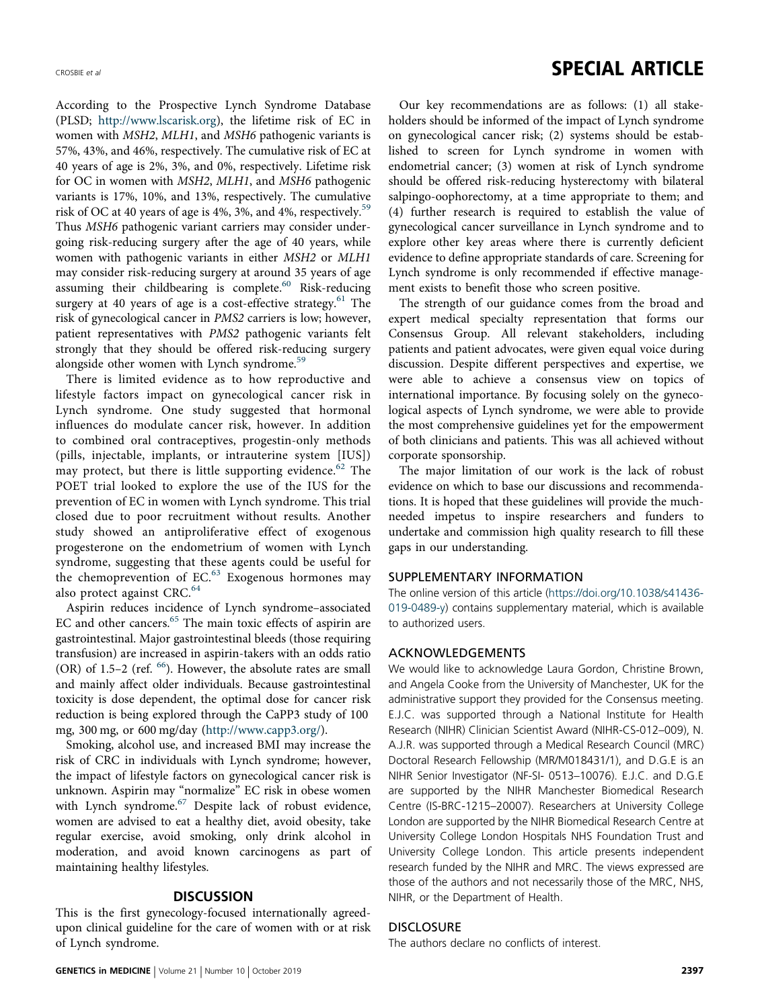According to the Prospective Lynch Syndrome Database (PLSD; [http://www.lscarisk.org\)](http://www.lscarisk.org), the lifetime risk of EC in women with MSH2, MLH1, and MSH6 pathogenic variants is 57%, 43%, and 46%, respectively. The cumulative risk of EC at 40 years of age is 2%, 3%, and 0%, respectively. Lifetime risk for OC in women with MSH2, MLH1, and MSH6 pathogenic variants is 17%, 10%, and 13%, respectively. The cumulative risk of OC at 40 years of age is 4%, 3%, and 4%, respectively.<sup>[59](#page-9-0)</sup> Thus MSH6 pathogenic variant carriers may consider undergoing risk-reducing surgery after the age of 40 years, while women with pathogenic variants in either MSH2 or MLH1 may consider risk-reducing surgery at around 35 years of age assuming their childbearing is complete.<sup>60</sup> Risk-reducing surgery at 40 years of age is a cost-effective strategy. $61$  The risk of gynecological cancer in PMS2 carriers is low; however, patient representatives with PMS2 pathogenic variants felt strongly that they should be offered risk-reducing surgery alongside other women with Lynch syndrome.<sup>[59](#page-9-0)</sup>

There is limited evidence as to how reproductive and lifestyle factors impact on gynecological cancer risk in Lynch syndrome. One study suggested that hormonal influences do modulate cancer risk, however. In addition to combined oral contraceptives, progestin-only methods (pills, injectable, implants, or intrauterine system [IUS]) may protect, but there is little supporting evidence.<sup>[62](#page-9-0)</sup> The POET trial looked to explore the use of the IUS for the prevention of EC in women with Lynch syndrome. This trial closed due to poor recruitment without results. Another study showed an antiproliferative effect of exogenous progesterone on the endometrium of women with Lynch syndrome, suggesting that these agents could be useful for the chemoprevention of  $EC<sup>63</sup>$  $EC<sup>63</sup>$  $EC<sup>63</sup>$  Exogenous hormones may also protect against CRC.<sup>[64](#page-9-0)</sup>

Aspirin reduces incidence of Lynch syndrome–associated EC and other cancers.<sup>65</sup> The main toxic effects of aspirin are gastrointestinal. Major gastrointestinal bleeds (those requiring transfusion) are increased in aspirin-takers with an odds ratio (OR) of 1.5–2 (ref.  $<sup>66</sup>$ ). However, the absolute rates are small</sup> and mainly affect older individuals. Because gastrointestinal toxicity is dose dependent, the optimal dose for cancer risk reduction is being explored through the CaPP3 study of 100 mg, 300 mg, or 600 mg/day [\(http://www.capp3.org/](http://www.capp3.org/)).

Smoking, alcohol use, and increased BMI may increase the risk of CRC in individuals with Lynch syndrome; however, the impact of lifestyle factors on gynecological cancer risk is unknown. Aspirin may "normalize" EC risk in obese women with Lynch syndrome.<sup>67</sup> Despite lack of robust evidence, women are advised to eat a healthy diet, avoid obesity, take regular exercise, avoid smoking, only drink alcohol in moderation, and avoid known carcinogens as part of maintaining healthy lifestyles.

### **DISCUSSION**

This is the first gynecology-focused internationally agreedupon clinical guideline for the care of women with or at risk of Lynch syndrome.

## CROSBIE et al. **SPECIAL ARTICLE**

Our key recommendations are as follows: (1) all stakeholders should be informed of the impact of Lynch syndrome on gynecological cancer risk; (2) systems should be established to screen for Lynch syndrome in women with endometrial cancer; (3) women at risk of Lynch syndrome should be offered risk-reducing hysterectomy with bilateral salpingo-oophorectomy, at a time appropriate to them; and (4) further research is required to establish the value of gynecological cancer surveillance in Lynch syndrome and to explore other key areas where there is currently deficient evidence to define appropriate standards of care. Screening for Lynch syndrome is only recommended if effective management exists to benefit those who screen positive.

The strength of our guidance comes from the broad and expert medical specialty representation that forms our Consensus Group. All relevant stakeholders, including patients and patient advocates, were given equal voice during discussion. Despite different perspectives and expertise, we were able to achieve a consensus view on topics of international importance. By focusing solely on the gynecological aspects of Lynch syndrome, we were able to provide the most comprehensive guidelines yet for the empowerment of both clinicians and patients. This was all achieved without corporate sponsorship.

The major limitation of our work is the lack of robust evidence on which to base our discussions and recommendations. It is hoped that these guidelines will provide the muchneeded impetus to inspire researchers and funders to undertake and commission high quality research to fill these gaps in our understanding.

### SUPPLEMENTARY INFORMATION

The online version of this article [\(https://doi.org/10.1038/s41436-](https://doi.org/10.1038/s41436-019-0489-y) [019-0489-y\)](https://doi.org/10.1038/s41436-019-0489-y) contains supplementary material, which is available to authorized users.

## ACKNOWLEDGEMENTS

We would like to acknowledge Laura Gordon, Christine Brown, and Angela Cooke from the University of Manchester, UK for the administrative support they provided for the Consensus meeting. E.J.C. was supported through a National Institute for Health Research (NIHR) Clinician Scientist Award (NIHR-CS-012–009), N. A.J.R. was supported through a Medical Research Council (MRC) Doctoral Research Fellowship (MR/M018431/1), and D.G.E is an NIHR Senior Investigator (NF-SI- 0513–10076). E.J.C. and D.G.E are supported by the NIHR Manchester Biomedical Research Centre (IS-BRC-1215–20007). Researchers at University College London are supported by the NIHR Biomedical Research Centre at University College London Hospitals NHS Foundation Trust and University College London. This article presents independent research funded by the NIHR and MRC. The views expressed are those of the authors and not necessarily those of the MRC, NHS, NIHR, or the Department of Health.

## **DISCLOSURE**

The authors declare no conflicts of interest.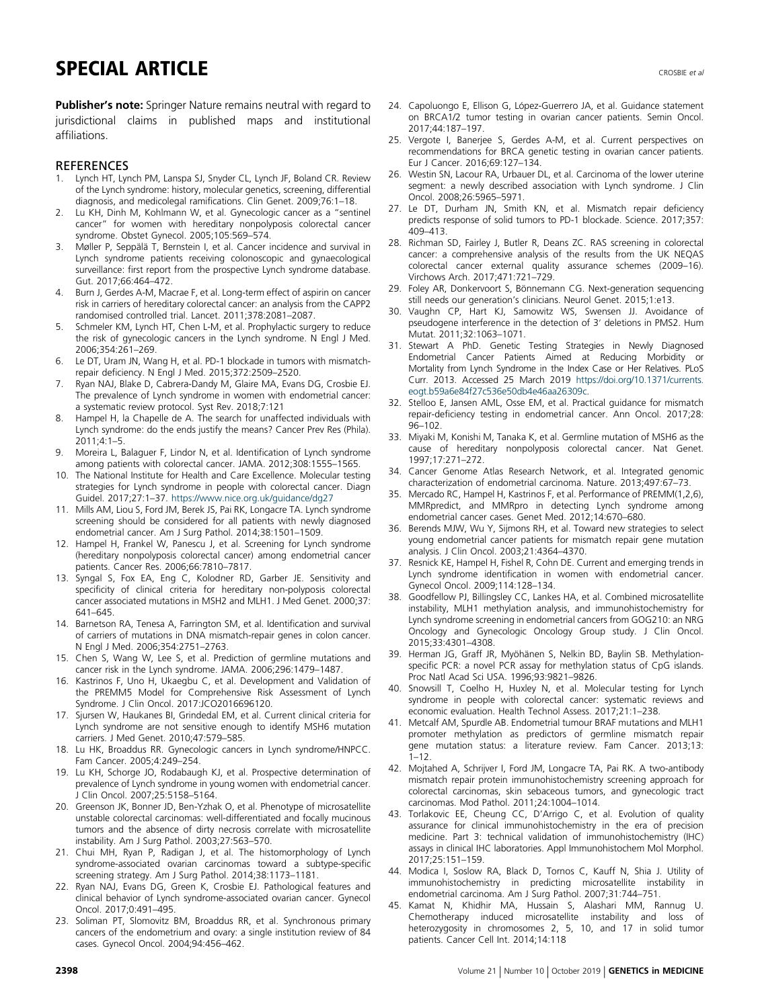## <span id="page-8-0"></span>SPECIAL ARTICLE AND RESERVED AND RESERVED FOR A SUBSECTED AND RECONNECTED AND RECONNECTED AND RECONNECTED AND RECONNECTED AND RECONNECTED AND RECONNECTED AND RECONNECTED AND RECONNECTED AND RECONNECTED AND RELATIONSHIP OF

Publisher's note: Springer Nature remains neutral with regard to jurisdictional claims in published maps and institutional affiliations.

#### **REFERENCES**

- 1. Lynch HT, Lynch PM, Lanspa SJ, Snyder CL, Lynch JF, Boland CR. Review of the Lynch syndrome: history, molecular genetics, screening, differential diagnosis, and medicolegal ramifications. Clin Genet. 2009;76:1–18.
- 2. Lu KH, Dinh M, Kohlmann W, et al. Gynecologic cancer as a "sentinel cancer" for women with hereditary nonpolyposis colorectal cancer syndrome. Obstet Gynecol. 2005;105:569–574.
- 3. Møller P, Seppälä T, Bernstein I, et al. Cancer incidence and survival in Lynch syndrome patients receiving colonoscopic and gynaecological surveillance: first report from the prospective Lynch syndrome database. Gut. 2017;66:464–472.
- 4. Burn J, Gerdes A-M, Macrae F, et al. Long-term effect of aspirin on cancer risk in carriers of hereditary colorectal cancer: an analysis from the CAPP2 randomised controlled trial. Lancet. 2011;378:2081–2087.
- 5. Schmeler KM, Lynch HT, Chen L-M, et al. Prophylactic surgery to reduce the risk of gynecologic cancers in the Lynch syndrome. N Engl J Med. 2006;354:261–269.
- 6. Le DT, Uram JN, Wang H, et al. PD-1 blockade in tumors with mismatchrepair deficiency. N Engl J Med. 2015;372:2509–2520.
- 7. Ryan NAJ, Blake D, Cabrera-Dandy M, Glaire MA, Evans DG, Crosbie EJ. The prevalence of Lynch syndrome in women with endometrial cancer: a systematic review protocol. Syst Rev. 2018;7:121
- 8. Hampel H, la Chapelle de A. The search for unaffected individuals with Lynch syndrome: do the ends justify the means? Cancer Prev Res (Phila). 2011;4:1–5.
- 9. Moreira L, Balaguer F, Lindor N, et al. Identification of Lynch syndrome among patients with colorectal cancer. JAMA. 2012;308:1555–1565.
- 10. The National Institute for Health and Care Excellence. Molecular testing strategies for Lynch syndrome in people with colorectal cancer. Diagn Guidel. 2017;27:1–37. <https://www.nice.org.uk/guidance/dg27>
- 11. Mills AM, Liou S, Ford JM, Berek JS, Pai RK, Longacre TA. Lynch syndrome screening should be considered for all patients with newly diagnosed endometrial cancer. Am J Surg Pathol. 2014;38:1501–1509.
- Hampel H, Frankel W, Panescu J, et al. Screening for Lynch syndrome (hereditary nonpolyposis colorectal cancer) among endometrial cancer patients. Cancer Res. 2006;66:7810–7817.
- 13. Syngal S, Fox EA, Eng C, Kolodner RD, Garber JE. Sensitivity and specificity of clinical criteria for hereditary non-polyposis colorectal cancer associated mutations in MSH2 and MLH1. J Med Genet. 2000;37: 641–645.
- 14. Barnetson RA, Tenesa A, Farrington SM, et al. Identification and survival of carriers of mutations in DNA mismatch-repair genes in colon cancer. N Engl J Med. 2006;354:2751–2763.
- 15. Chen S, Wang W, Lee S, et al. Prediction of germline mutations and cancer risk in the Lynch syndrome. JAMA. 2006;296:1479–1487.
- 16. Kastrinos F, Uno H, Ukaegbu C, et al. Development and Validation of the PREMM5 Model for Comprehensive Risk Assessment of Lynch Syndrome. J Clin Oncol. 2017:JCO2016696120.
- 17. Sjursen W, Haukanes BI, Grindedal EM, et al. Current clinical criteria for Lynch syndrome are not sensitive enough to identify MSH6 mutation carriers. J Med Genet. 2010;47:579–585.
- 18. Lu HK, Broaddus RR. Gynecologic cancers in Lynch syndrome/HNPCC. Fam Cancer. 2005;4:249–254.
- 19. Lu KH, Schorge JO, Rodabaugh KJ, et al. Prospective determination of prevalence of Lynch syndrome in young women with endometrial cancer. J Clin Oncol. 2007;25:5158–5164.
- 20. Greenson JK, Bonner JD, Ben-Yzhak O, et al. Phenotype of microsatellite unstable colorectal carcinomas: well-differentiated and focally mucinous tumors and the absence of dirty necrosis correlate with microsatellite instability. Am J Surg Pathol. 2003;27:563–570.
- 21. Chui MH, Ryan P, Radigan J, et al. The histomorphology of Lynch syndrome-associated ovarian carcinomas toward a subtype-specific screening strategy. Am J Surg Pathol. 2014;38:1173–1181.
- 22. Ryan NAJ, Evans DG, Green K, Crosbie EJ. Pathological features and clinical behavior of Lynch syndrome-associated ovarian cancer. Gynecol Oncol. 2017;0:491–495.
- 23. Soliman PT, Slomovitz BM, Broaddus RR, et al. Synchronous primary cancers of the endometrium and ovary: a single institution review of 84 cases. Gynecol Oncol. 2004;94:456–462.
- 24. Capoluongo E, Ellison G, López-Guerrero JA, et al. Guidance statement on BRCA1/2 tumor testing in ovarian cancer patients. Semin Oncol. 2017;44:187–197.
- 25. Vergote I, Banerjee S, Gerdes A-M, et al. Current perspectives on recommendations for BRCA genetic testing in ovarian cancer patients. Eur J Cancer. 2016;69:127–134.
- 26. Westin SN, Lacour RA, Urbauer DL, et al. Carcinoma of the lower uterine segment: a newly described association with Lynch syndrome. J Clin Oncol. 2008;26:5965–5971.
- 27. Le DT, Durham JN, Smith KN, et al. Mismatch repair deficiency predicts response of solid tumors to PD-1 blockade. Science. 2017;357: 409–413.
- 28. Richman SD, Fairley J, Butler R, Deans ZC. RAS screening in colorectal cancer: a comprehensive analysis of the results from the UK NEQAS colorectal cancer external quality assurance schemes (2009–16). Virchows Arch. 2017;471:721–729.
- 29. Foley AR, Donkervoort S, Bönnemann CG. Next-generation sequencing still needs our generation's clinicians. Neurol Genet. 2015;1:e13.
- 30. Vaughn CP, Hart KJ, Samowitz WS, Swensen JJ. Avoidance of pseudogene interference in the detection of 3′ deletions in PMS2. Hum Mutat. 2011;32:1063–1071.
- 31. Stewart A PhD. Genetic Testing Strategies in Newly Diagnosed Endometrial Cancer Patients Aimed at Reducing Morbidity or Mortality from Lynch Syndrome in the Index Case or Her Relatives. PLoS Curr. 2013. Accessed 25 March 2019 [https://doi.org/10.1371/currents.](https://doi.org/10.1371/currents.eogt.b59a6e84f27c536e50db4e46aa26309c) [eogt.b59a6e84f27c536e50db4e46aa26309c.](https://doi.org/10.1371/currents.eogt.b59a6e84f27c536e50db4e46aa26309c)
- 32. Stelloo E, Jansen AML, Osse EM, et al. Practical guidance for mismatch repair-deficiency testing in endometrial cancer. Ann Oncol. 2017;28: 96–102.
- 33. Miyaki M, Konishi M, Tanaka K, et al. Germline mutation of MSH6 as the cause of hereditary nonpolyposis colorectal cancer. Nat Genet. 1997;17:271–272.
- 34. Cancer Genome Atlas Research Network, et al. Integrated genomic characterization of endometrial carcinoma. Nature. 2013;497:67–73.
- 35. Mercado RC, Hampel H, Kastrinos F, et al. Performance of PREMM(1,2,6), MMRpredict, and MMRpro in detecting Lynch syndrome among endometrial cancer cases. Genet Med. 2012;14:670–680.
- 36. Berends MJW, Wu Y, Sijmons RH, et al. Toward new strategies to select young endometrial cancer patients for mismatch repair gene mutation analysis. J Clin Oncol. 2003;21:4364–4370.
- 37. Resnick KE, Hampel H, Fishel R, Cohn DE. Current and emerging trends in Lynch syndrome identification in women with endometrial cancer. Gynecol Oncol. 2009;114:128–134.
- 38. Goodfellow PJ, Billingsley CC, Lankes HA, et al. Combined microsatellite instability, MLH1 methylation analysis, and immunohistochemistry for Lynch syndrome screening in endometrial cancers from GOG210: an NRG Oncology and Gynecologic Oncology Group study. J Clin Oncol. 2015;33:4301–4308.
- 39. Herman JG, Graff JR, Myöhänen S, Nelkin BD, Baylin SB. Methylationspecific PCR: a novel PCR assay for methylation status of CpG islands. Proc Natl Acad Sci USA. 1996;93:9821–9826.
- 40. Snowsill T, Coelho H, Huxley N, et al. Molecular testing for Lynch syndrome in people with colorectal cancer: systematic reviews and economic evaluation. Health Technol Assess. 2017;21:1–238.
- 41. Metcalf AM, Spurdle AB. Endometrial tumour BRAF mutations and MLH1 promoter methylation as predictors of germline mismatch repair gene mutation status: a literature review. Fam Cancer. 2013;13:  $1 - 12$
- 42. Mojtahed A, Schrijver I, Ford JM, Longacre TA, Pai RK. A two-antibody mismatch repair protein immunohistochemistry screening approach for colorectal carcinomas, skin sebaceous tumors, and gynecologic tract carcinomas. Mod Pathol. 2011;24:1004–1014.
- 43. Torlakovic EE, Cheung CC, D'Arrigo C, et al. Evolution of quality assurance for clinical immunohistochemistry in the era of precision medicine. Part 3: technical validation of immunohistochemistry (IHC) assays in clinical IHC laboratories. Appl Immunohistochem Mol Morphol. 2017;25:151–159.
- 44. Modica I, Soslow RA, Black D, Tornos C, Kauff N, Shia J. Utility of immunohistochemistry in predicting microsatellite instability in endometrial carcinoma. Am J Surg Pathol. 2007;31:744–751.
- 45. Kamat N, Khidhir MA, Hussain S, Alashari MM, Rannug U. Chemotherapy induced microsatellite instability and loss of heterozygosity in chromosomes 2, 5, 10, and 17 in solid tumor patients. Cancer Cell Int. 2014;14:118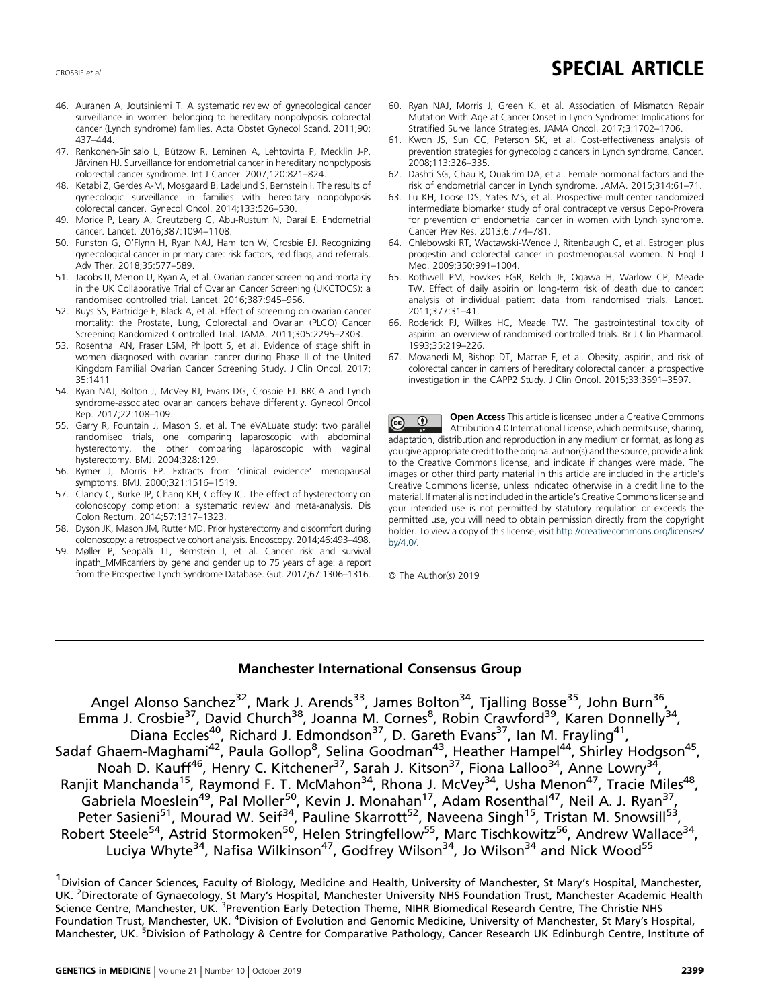# <span id="page-9-0"></span>CROSBIE et al. **SPECIAL ARTICLE**

- 46. Auranen A, Joutsiniemi T. A systematic review of gynecological cancer surveillance in women belonging to hereditary nonpolyposis colorectal cancer (Lynch syndrome) families. Acta Obstet Gynecol Scand. 2011;90: 437–444.
- 47. Renkonen-Sinisalo L, Bützow R, Leminen A, Lehtovirta P, Mecklin J-P, Järvinen HJ. Surveillance for endometrial cancer in hereditary nonpolyposis colorectal cancer syndrome. Int J Cancer. 2007;120:821–824.
- 48. Ketabi Z, Gerdes A-M, Mosgaard B, Ladelund S, Bernstein I. The results of gynecologic surveillance in families with hereditary nonpolyposis colorectal cancer. Gynecol Oncol. 2014;133:526–530.
- 49. Morice P, Leary A, Creutzberg C, Abu-Rustum N, Daraï E. Endometrial cancer. Lancet. 2016;387:1094–1108.
- 50. Funston G, O'Flynn H, Ryan NAJ, Hamilton W, Crosbie EJ. Recognizing gynecological cancer in primary care: risk factors, red flags, and referrals. Adv Ther. 2018;35:577–589.
- 51. Jacobs IJ, Menon U, Ryan A, et al. Ovarian cancer screening and mortality in the UK Collaborative Trial of Ovarian Cancer Screening (UKCTOCS): a randomised controlled trial. Lancet. 2016;387:945–956.
- 52. Buys SS, Partridge E, Black A, et al. Effect of screening on ovarian cancer mortality: the Prostate, Lung, Colorectal and Ovarian (PLCO) Cancer Screening Randomized Controlled Trial. JAMA. 2011;305:2295–2303.
- 53. Rosenthal AN, Fraser LSM, Philpott S, et al. Evidence of stage shift in women diagnosed with ovarian cancer during Phase II of the United Kingdom Familial Ovarian Cancer Screening Study. J Clin Oncol. 2017; 35:1411
- 54. Ryan NAJ, Bolton J, McVey RJ, Evans DG, Crosbie EJ. BRCA and Lynch syndrome-associated ovarian cancers behave differently. Gynecol Oncol Rep. 2017;22:108–109.
- 55. Garry R, Fountain J, Mason S, et al. The eVALuate study: two parallel randomised trials, one comparing laparoscopic with abdominal hysterectomy, the other comparing laparoscopic with vaginal hysterectomy. BMJ. 2004;328:129.
- 56. Rymer J, Morris EP. Extracts from 'clinical evidence': menopausal symptoms. BMJ. 2000;321:1516–1519.
- 57. Clancy C, Burke JP, Chang KH, Coffey JC. The effect of hysterectomy on colonoscopy completion: a systematic review and meta-analysis. Dis Colon Rectum. 2014;57:1317–1323.
- 58. Dyson JK, Mason JM, Rutter MD. Prior hysterectomy and discomfort during colonoscopy: a retrospective cohort analysis. Endoscopy. 2014;46:493–498.
- 59. Møller P, Seppälä TT, Bernstein I, et al. Cancer risk and survival inpath\_MMRcarriers by gene and gender up to 75 years of age: a report from the Prospective Lynch Syndrome Database. Gut. 2017;67:1306–1316.
- 60. Ryan NAJ, Morris J, Green K, et al. Association of Mismatch Repair Mutation With Age at Cancer Onset in Lynch Syndrome: Implications for Stratified Surveillance Strategies. JAMA Oncol. 2017;3:1702–1706.
- 61. Kwon JS, Sun CC, Peterson SK, et al. Cost-effectiveness analysis of prevention strategies for gynecologic cancers in Lynch syndrome. Cancer. 2008;113:326–335.
- 62. Dashti SG, Chau R, Ouakrim DA, et al. Female hormonal factors and the risk of endometrial cancer in Lynch syndrome. JAMA. 2015;314:61–71.
- 63. Lu KH, Loose DS, Yates MS, et al. Prospective multicenter randomized intermediate biomarker study of oral contraceptive versus Depo-Provera for prevention of endometrial cancer in women with Lynch syndrome. Cancer Prev Res. 2013;6:774–781.
- 64. Chlebowski RT, Wactawski-Wende J, Ritenbaugh C, et al. Estrogen plus progestin and colorectal cancer in postmenopausal women. N Engl J Med. 2009;350:991–1004.
- 65. Rothwell PM, Fowkes FGR, Belch JF, Ogawa H, Warlow CP, Meade TW. Effect of daily aspirin on long-term risk of death due to cancer: analysis of individual patient data from randomised trials. Lancet. 2011;377:31–41.
- 66. Roderick PJ, Wilkes HC, Meade TW. The gastrointestinal toxicity of aspirin: an overview of randomised controlled trials. Br J Clin Pharmacol. 1993;35:219–226.
- 67. Movahedi M, Bishop DT, Macrae F, et al. Obesity, aspirin, and risk of colorectal cancer in carriers of hereditary colorectal cancer: a prospective investigation in the CAPP2 Study. J Clin Oncol. 2015;33:3591–3597.

Open Access This article is licensed under a Creative Commons  $\bigcirc$  $\odot$ Attribution 4.0 International License, which permits use, sharing, adaptation, distribution and reproduction in any medium or format, as long as you give appropriate credit to the original author(s) and the source, provide a link to the Creative Commons license, and indicate if changes were made. The images or other third party material in this article are included in the article's Creative Commons license, unless indicated otherwise in a credit line to the material. If material is not included in the article's Creative Commons license and your intended use is not permitted by statutory regulation or exceeds the permitted use, you will need to obtain permission directly from the copyright holder. To view a copy of this license, visit [http://creativecommons.org/licenses/](http://creativecommons.org/licenses/by/4.0/) [by/4.0/](http://creativecommons.org/licenses/by/4.0/)

© The Author(s) 2019

## Manchester International Consensus Group

Angel Alonso Sanchez<sup>32</sup>, Mark J. Arends<sup>33</sup>, James Bolton<sup>34</sup>, Tjalling Bosse<sup>35</sup>, John Burn<sup>36</sup>, Emma J. Crosbie<sup>37</sup>, David Church<sup>38</sup>, Joanna M. Cornes<sup>8</sup>, Robin Crawford<sup>39</sup>, Karen Donnelly<sup>34</sup>, Diana Eccles<sup>40</sup>, Richard J. Edmondson<sup>37</sup>, D. Gareth Evans<sup>37</sup>, Ian M. Frayling<sup>41</sup>, Sadaf Ghaem-Maghami<sup>42</sup>, Paula Gollop<sup>8</sup>, Selina Goodman<sup>43</sup>, Heather Hampel<sup>44</sup>, Shirley Hodgson<sup>45</sup>, Noah D. Kauff<sup>46</sup>, Henry C. Kitchener<sup>37</sup>, Sarah J. Kitson<sup>37</sup>, Fiona Lalloo<sup>34</sup>, Anne Lowry<sup>34</sup>, Ranjit Manchanda<sup>15</sup>, Raymond F. T. McMahon<sup>34</sup>, Rhona J. McVey<sup>34</sup>, Usha Menon<sup>47</sup>, Tracie Miles<sup>48</sup>, Gabriela Moeslein<sup>49</sup>, Pal Moller<sup>50</sup>, Kevin J. Monahan<sup>17</sup>, Adam Rosenthal<sup>47</sup>, Neil A. J. Ryan<sup>37</sup>, Peter Sasieni<sup>51</sup>, Mourad W. Seif<sup>34</sup>, Pauline Skarrott<sup>52</sup>, Naveena Singh<sup>15</sup>, Tristan M. Snowsill<sup>53</sup>, Robert Steele<sup>54</sup>, Astrid Stormoken<sup>50</sup>, Helen Stringfellow<sup>55</sup>, Marc Tischkowitz<sup>56</sup>, Andrew Wallace<sup>34</sup>, Luciya Whyte<sup>34</sup>, Nafisa Wilkinson<sup>47</sup>, Godfrey Wilson<sup>34</sup>, Jo Wilson<sup>34</sup> and Nick Wood<sup>55</sup>

<sup>&</sup>lt;sup>1</sup> Division of Cancer Sciences, Faculty of Biology, Medicine and Health, University of Manchester, St Mary's Hospital, Manchester, UK. <sup>2</sup>Directorate of Gynaecology, St Mary's Hospital, Manchester University NHS Foundation Trust, Manchester Academic Health Science Centre, Manchester, UK. <sup>3</sup>Prevention Early Detection Theme, NIHR Biomedical Research Centre, The Christie NHS Foundation Trust, Manchester, UK. <sup>4</sup>Division of Evolution and Genomic Medicine, University of Manchester, St Mary's Hospital, Manchester, UK. <sup>5</sup>Division of Pathology & Centre for Comparative Pathology, Cancer Research UK Edinburgh Centre, Institute of